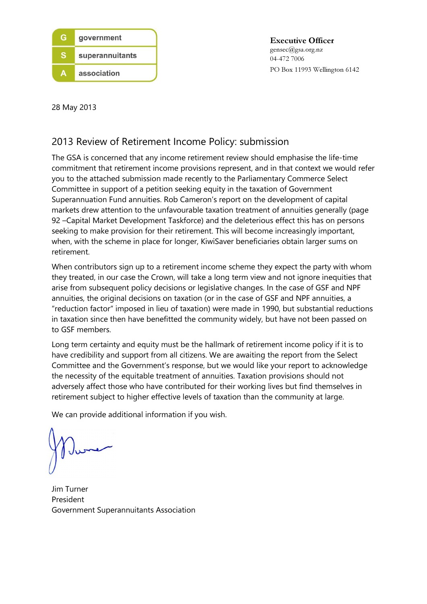

Executive Officer gensec@gsa.org.nz 04-472 7006 PO Box 11993 Wellington 6142

28 May 2013

# 2013 Review of Retirement Income Policy: submission

The GSA is concerned that any income retirement review should emphasise the life-time commitment that retirement income provisions represent, and in that context we would refer you to the attached submission made recently to the Parliamentary Commerce Select Committee in support of a petition seeking equity in the taxation of Government Superannuation Fund annuities. Rob Cameron's report on the development of capital markets drew attention to the unfavourable taxation treatment of annuities generally (page 92 –Capital Market Development Taskforce) and the deleterious effect this has on persons seeking to make provision for their retirement. This will become increasingly important, when, with the scheme in place for longer, KiwiSaver beneficiaries obtain larger sums on retirement.

When contributors sign up to a retirement income scheme they expect the party with whom they treated, in our case the Crown, will take a long term view and not ignore inequities that arise from subsequent policy decisions or legislative changes. In the case of GSF and NPF annuities, the original decisions on taxation (or in the case of GSF and NPF annuities, a "reduction factor" imposed in lieu of taxation) were made in 1990, but substantial reductions in taxation since then have benefitted the community widely, but have not been passed on to GSF members.

Long term certainty and equity must be the hallmark of retirement income policy if it is to have credibility and support from all citizens. We are awaiting the report from the Select Committee and the Government's response, but we would like your report to acknowledge the necessity of the equitable treatment of annuities. Taxation provisions should not adversely affect those who have contributed for their working lives but find themselves in retirement subject to higher effective levels of taxation than the community at large.

We can provide additional information if you wish.

Jim Turner President Government Superannuitants Association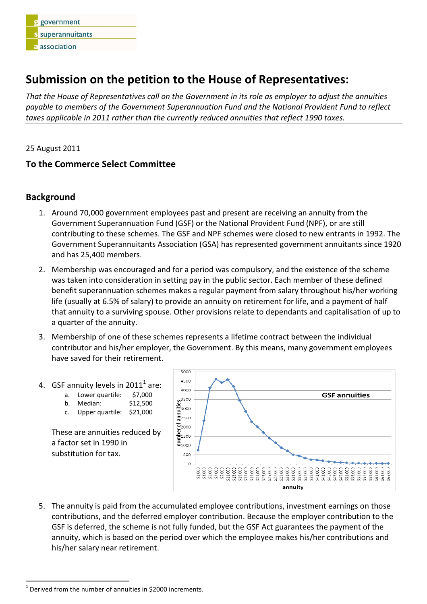| government        |
|-------------------|
| s superannuitants |
| a association     |

# Submission on the petition to the House of Representatives:

That the House of Representatives call on the Government in its role as employer to adjust the annuities payable to members of the Government Superannuation Fund and the National Provident Fund to reflect taxes applicable in 2011 rather than the currently reduced annuities that reflect 1990 taxes.

25 August 2011

## To the Commerce Select Committee

#### Background

- 1. Around 70,000 government employees past and present are receiving an annuity from the Government Superannuation Fund (GSF) or the National Provident Fund (NPF), or are still contributing to these schemes. The GSF and NPF schemes were closed to new entrants in 1992. The Government Superannuitants Association (GSA) has represented government annuitants since 1920 and has 25,400 members.
- 2. Membership was encouraged and for a period was compulsory, and the existence of the scheme was taken into consideration in setting pay in the public sector. Each member of these defined benefit superannuation schemes makes a regular payment from salary throughout his/her working life (usually at 6.5% of salary) to provide an annuity on retirement for life, and a payment of half that annuity to a surviving spouse. Other provisions relate to dependants and capitalisation of up to a quarter of the annuity.
- 3. Membership of one of these schemes represents a lifetime contract between the individual contributor and his/her employer, the Government. By this means, many government employees have saved for their retirement.
- 4. GSF annuity levels in 2011<sup>1</sup> are:
	- a. Lower quartile: \$7,000
	- b. Median: \$12,500
	- c. Upper quartile: \$21,000

These are annuities reduced by a factor set in 1990 in substitution for tax.



5. The annuity is paid from the accumulated employee contributions, investment earnings on those contributions, and the deferred employer contribution. Because the employer contribution to the GSF is deferred, the scheme is not fully funded, but the GSF Act guarantees the payment of the annuity, which is based on the period over which the employee makes his/her contributions and his/her salary near retirement.

l

 $^1$  Derived from the number of annuities in \$2000 increments.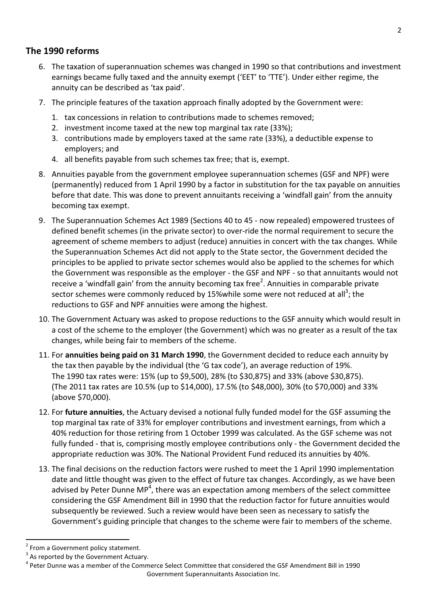## The 1990 reforms

- 6. The taxation of superannuation schemes was changed in 1990 so that contributions and investment earnings became fully taxed and the annuity exempt ('EET' to 'TTE'). Under either regime, the annuity can be described as 'tax paid'.
- 7. The principle features of the taxation approach finally adopted by the Government were:
	- 1. tax concessions in relation to contributions made to schemes removed;
	- 2. investment income taxed at the new top marginal tax rate (33%);
	- 3. contributions made by employers taxed at the same rate (33%), a deductible expense to employers; and
	- 4. all benefits payable from such schemes tax free; that is, exempt.
- 8. Annuities payable from the government employee superannuation schemes (GSF and NPF) were (permanently) reduced from 1 April 1990 by a factor in substitution for the tax payable on annuities before that date. This was done to prevent annuitants receiving a 'windfall gain' from the annuity becoming tax exempt.
- 9. The Superannuation Schemes Act 1989 (Sections 40 to 45 now repealed) empowered trustees of defined benefit schemes (in the private sector) to over-ride the normal requirement to secure the agreement of scheme members to adjust (reduce) annuities in concert with the tax changes. While the Superannuation Schemes Act did not apply to the State sector, the Government decided the principles to be applied to private sector schemes would also be applied to the schemes for which the Government was responsible as the employer - the GSF and NPF - so that annuitants would not receive a 'windfall gain' from the annuity becoming tax free<sup>2</sup>. Annuities in comparable private sector schemes were commonly reduced by 15%while some were not reduced at all<sup>3</sup>; the reductions to GSF and NPF annuities were among the highest.
- 10. The Government Actuary was asked to propose reductions to the GSF annuity which would result in a cost of the scheme to the employer (the Government) which was no greater as a result of the tax changes, while being fair to members of the scheme.
- 11. For annuities being paid on 31 March 1990, the Government decided to reduce each annuity by the tax then payable by the individual (the 'G tax code'), an average reduction of 19%. The 1990 tax rates were: 15% (up to \$9,500), 28% (to \$30,875) and 33% (above \$30,875). (The 2011 tax rates are 10.5% (up to \$14,000), 17.5% (to \$48,000), 30% (to \$70,000) and 33% (above \$70,000).
- 12. For **future annuities**, the Actuary devised a notional fully funded model for the GSF assuming the top marginal tax rate of 33% for employer contributions and investment earnings, from which a 40% reduction for those retiring from 1 October 1999 was calculated. As the GSF scheme was not fully funded - that is, comprising mostly employee contributions only - the Government decided the appropriate reduction was 30%. The National Provident Fund reduced its annuities by 40%.
- 13. The final decisions on the reduction factors were rushed to meet the 1 April 1990 implementation date and little thought was given to the effect of future tax changes. Accordingly, as we have been advised by Peter Dunne MP<sup>4</sup>, there was an expectation among members of the select committee considering the GSF Amendment Bill in 1990 that the reduction factor for future annuities would subsequently be reviewed. Such a review would have been seen as necessary to satisfy the Government's guiding principle that changes to the scheme were fair to members of the scheme.

 $\overline{a}$ 

<sup>2</sup> From a Government policy statement.

<sup>&</sup>lt;sup>3</sup> As reported by the Government Actuary.

<sup>&</sup>lt;sup>4</sup> Peter Dunne was a member of the Commerce Select Committee that considered the GSF Amendment Bill in 1990